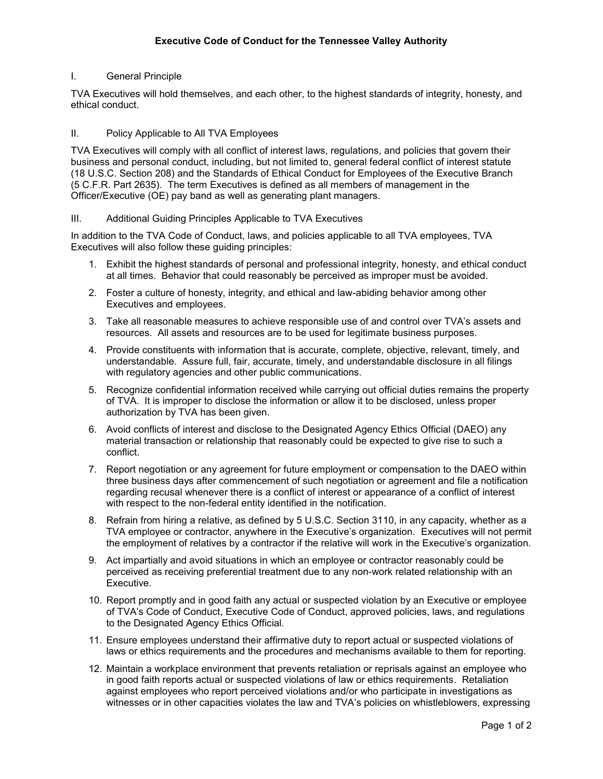## I. General Principle

TVA Executives will hold themselves, and each other, to the highest standards of integrity, honesty, and ethical conduct.

### II. Policy Applicable to All TVA Employees

TVA Executives will comply with all conflict of interest laws, regulations, and policies that govern their business and personal conduct, including, but not limited to, general federal conflict of interest statute (18 U.S.C. Section 208) and the Standards of Ethical Conduct for Employees of the Executive Branch (5 C.F.R. Part 2635). The term Executives is defined as all members of management in the Officer/Executive (OE) pay band as well as generating plant managers.

### III. Additional Guiding Principles Applicable to TVA Executives

In addition to the TVA Code of Conduct, laws, and policies applicable to all TVA employees, TVA Executives will also follow these guiding principles:

- 1. Exhibit the highest standards of personal and professional integrity, honesty, and ethical conduct at all times. Behavior that could reasonably be perceived as improper must be avoided.
- 2. Foster a culture of honesty, integrity, and ethical and law-abiding behavior among other Executives and employees.
- 3. Take all reasonable measures to achieve responsible use of and control over TVA's assets and resources. All assets and resources are to be used for legitimate business purposes.
- 4. Provide constituents with information that is accurate, complete, objective, relevant, timely, and understandable. Assure full, fair, accurate, timely, and understandable disclosure in all filings with regulatory agencies and other public communications.
- 5. Recognize confidential information received while carrying out official duties remains the property of TVA. It is improper to disclose the information or allow it to be disclosed, unless proper authorization by TVA has been given.
- 6. Avoid conflicts of interest and disclose to the Designated Agency Ethics Official (DAEO) any material transaction or relationship that reasonably could be expected to give rise to such a conflict.
- 7. Report negotiation or any agreement for future employment or compensation to the DAEO within three business days after commencement of such negotiation or agreement and file a notification regarding recusal whenever there is a conflict of interest or appearance of a conflict of interest with respect to the non-federal entity identified in the notification.
- 8. Refrain from hiring a relative, as defined by 5 U.S.C. Section 3110, in any capacity, whether as a TVA employee or contractor, anywhere in the Executive's organization. Executives will not permit the employment of relatives by a contractor if the relative will work in the Executive's organization.
- 9. Act impartially and avoid situations in which an employee or contractor reasonably could be perceived as receiving preferential treatment due to any non-work related relationship with an Executive.
- 10. Report promptly and in good faith any actual or suspected violation by an Executive or employee of TVA's Code of Conduct, Executive Code of Conduct, approved policies, laws, and regulations to the Designated Agency Ethics Official.
- 11. Ensure employees understand their affirmative duty to report actual or suspected violations of laws or ethics requirements and the procedures and mechanisms available to them for reporting.
- 12. Maintain a workplace environment that prevents retaliation or reprisals against an employee who in good faith reports actual or suspected violations of law or ethics requirements. Retaliation against employees who report perceived violations and/or who participate in investigations as witnesses or in other capacities violates the law and TVA's policies on whistleblowers, expressing